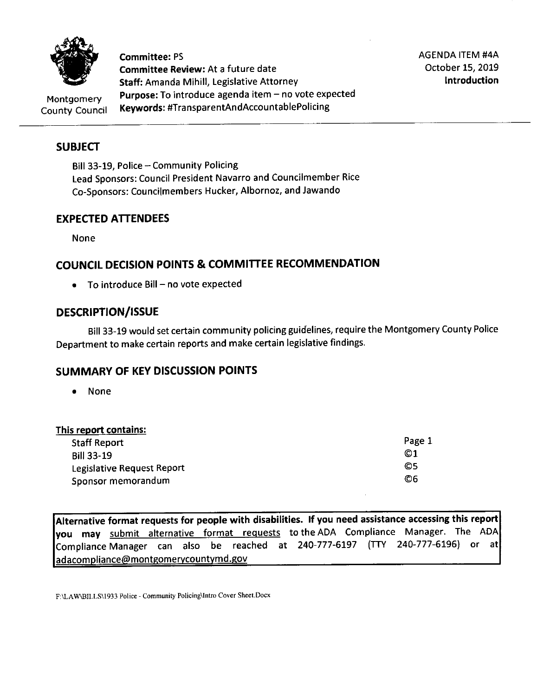

**Committee:** PS **Committee Review:** At a future date **Staff:** Amanda Mihill, Legislative Attorney Purpose: To introduce agenda item - no vote expected **Keywords:** #TransparentAndAccountablePolicing

AGENDA ITEM #4A October 15, 2019 **Introduction** 

Montgomery County Council

## **SUBJECT**

Bill 33-19, Police - Community Policing Lead Sponsors: Council President Navarro and Councilmember Rice Co-Sponsors: Councilmembers Hucker, Albornoz, and Jawando

#### **EXPECTED ATTENDEES**

None

## **COUNCIL DECISION POINTS & COMMITTEE RECOMMENDATION**

 $\bullet$  To introduce Bill – no vote expected

#### **DESCRIPTION/ISSUE**

Bill 33-19 would set certain community policing guidelines, require the Montgomery County Police Department to make certain reports and make certain legislative findings.

#### **SUMMARY OF KEV DISCUSSION POINTS**

• None

#### **This report contains:**

| <b>Staff Report</b>        | Page 1 |
|----------------------------|--------|
| <b>Bill 33-19</b>          | ©1     |
| Legislative Request Report | O5     |
| Sponsor memorandum         | O6     |

**Alternative format requests for people with disabilities. If you need assistance accessing this report you may** submit alternative format requests to the ADA Compliance Manager. The ADA  $\left|$ Compliance Manager can also be reached at 240-777-6197 (TTY 240-777-6196) or at adacompliance@montgomerycountymd.gov

F:\LA W\BILLS\1933 Police - Community Policing\lntro Cover Sheet.Docx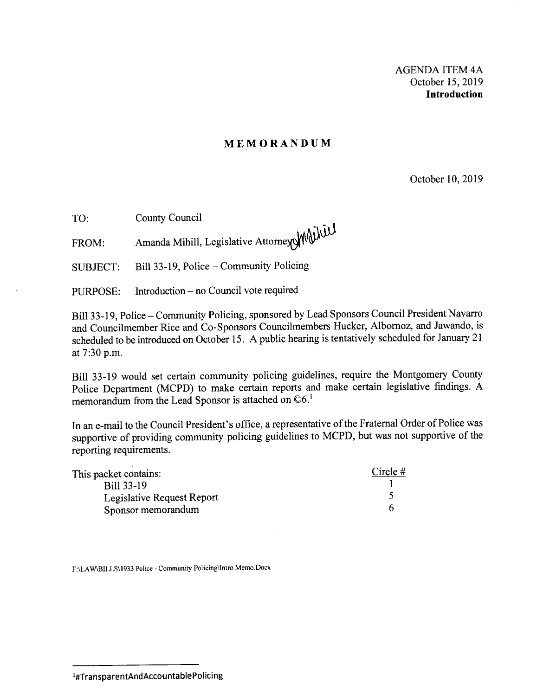#### **MEMORANDUM**

October 10, 2019

TO: County Council

FROM: Amanda Mihill, Legislative Attorney Mill

SUBJECT: Bill 33-19, Police-Community Policing

PURPOSE: Introduction - no Council vote required

Bill 33-19, Police - Community Policing, sponsored by Lead Sponsors Council President Navarro and Councilmember Rice and Co-Sponsors Councilmembers Hucker, Albornoz, and Jawando, is scheduled to be introduced on October 15. A public hearing is tentatively scheduled for January 21 at 7:30 p.m.

Bill 33-19 would set certain community policing guidelines, require the Montgomery County Police Department (MCPD) to make certain reports and make certain legislative findings. A memorandum from the Lead Sponsor is attached on  $\mathbb{O}6$ .<sup>1</sup>

In an e-mail to the Council President's office, a representative of the Fraternal Order of Police was supportive of providing community policing guidelines to MCPD, but was not supportive of the reporting requirements.

| This packet contains:      | Circle $#$ |
|----------------------------|------------|
| Bill 33-19                 |            |
| Legislative Request Report |            |
| Sponsor memorandum         |            |

**F:\LAW\BILLS\1933 Police - Community Policing\Intro Memo.Docx** 

<sup>1#</sup>TransparentAndAccountablePolicing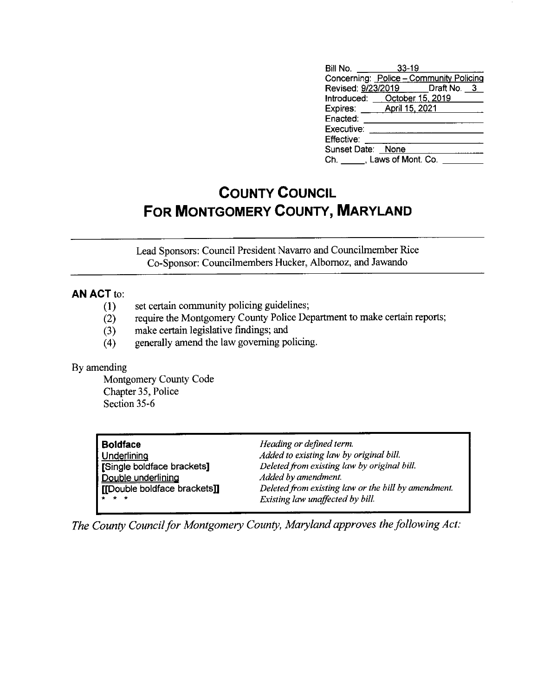| Bill No.<br>$\frac{1}{2}$      | $33 - 19$                     |                                         |
|--------------------------------|-------------------------------|-----------------------------------------|
|                                |                               | Concerning: Police - Community Policing |
|                                |                               | Revised: 9/23/2019 Draft No. 3          |
|                                | Introduced: October 15, 2019  |                                         |
| Expires: <u>April 15, 2021</u> |                               |                                         |
| Enacted:                       |                               |                                         |
| Executive:                     |                               |                                         |
| Effective:                     |                               |                                         |
| Sunset Date: None              |                               |                                         |
|                                | Ch. ______, Laws of Mont. Co. |                                         |

# **COUNTY COUNCIL FOR MONTGOMERY COUNTY, MARYLAND**

Lead Sponsors: Council President Navarro and Councilmember Rice Co-Sponsor: Councilmembers Hucker, Albornoz, and Jawando

#### **AN ACT** to:

- (1) set certain community policing guidelines;
- (2) require the Montgomery County Police Department to make certain reports;
- (3) make certain legislative findings; and
- (4) generally amend the law governing policing.

#### By amending

Montgomery County Code Chapter 35, Police Section 35-6

| <b>Boldface</b>              | Heading or defined term.                            |
|------------------------------|-----------------------------------------------------|
| Underlining                  | Added to existing law by original bill.             |
| Single boldface brackets]    | Deleted from existing law by original bill.         |
| Double underlining           | Added by amendment.                                 |
| [[Double boldface brackets]] | Deleted from existing law or the bill by amendment. |
| <b>A</b> * *                 | Existing law unaffected by bill.                    |

*The County Council for Montgomery County, Maryland approves the following Act:*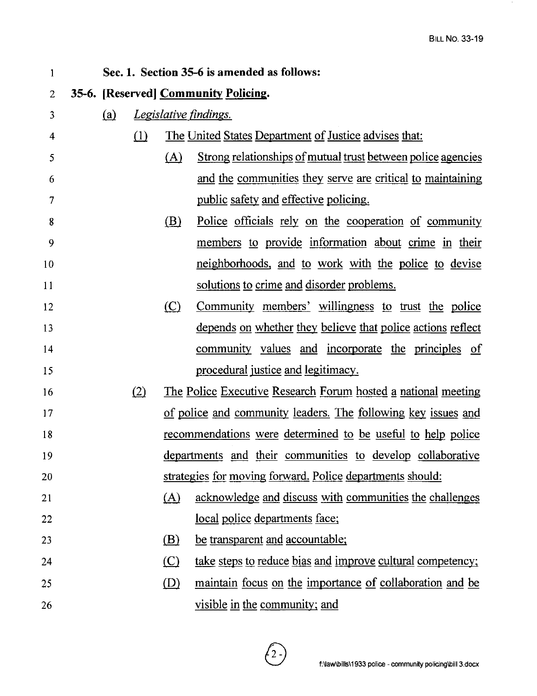$\alpha$ 

| 1  | Sec. 1. Section 35-6 is amended as follows: |          |               |                                                                    |
|----|---------------------------------------------|----------|---------------|--------------------------------------------------------------------|
| 2  | 35-6. [Reserved] Community Policing.        |          |               |                                                                    |
| 3  | (a)                                         |          |               | <u>Legislative findings.</u>                                       |
| 4  |                                             | $\Omega$ |               | The United States Department of Justice advises that:              |
| 5  |                                             |          | $\Delta$      | Strong relationships of mutual trust between police agencies       |
| 6  |                                             |          |               | and the communities they serve are critical to maintaining         |
| 7  |                                             |          |               | public safety and effective policing.                              |
| 8  |                                             |          | <u>(B)</u>    | Police officials rely on the cooperation of community              |
| 9  |                                             |          |               | members to provide information about crime in their                |
| 10 |                                             |          |               | neighborhoods, and to work with the police to devise               |
| 11 |                                             |          |               | solutions to crime and disorder problems.                          |
| 12 |                                             |          | $\circ$       | Community members' willingness to trust the police                 |
| 13 |                                             |          |               | depends on whether they believe that police actions reflect        |
| 14 |                                             |          |               | community values and incorporate the principles of                 |
| 15 |                                             |          |               | procedural justice and legitimacy.                                 |
| 16 |                                             | (2)      |               | The Police Executive Research Forum hosted a national meeting      |
| 17 |                                             |          |               | of police and community leaders. The following key issues and      |
| 18 |                                             |          |               | <u>recommendations</u> were determined to be useful to help police |
| 19 |                                             |          |               | departments and their communities to develop collaborative         |
| 20 |                                             |          |               | strategies for moving forward. Police departments should:          |
| 21 |                                             |          | (A)           | acknowledge and discuss with communities the challenges            |
| 22 |                                             |          |               | local police departments face;                                     |
| 23 |                                             |          | <u>(B)</u>    | be transparent and accountable;                                    |
| 24 |                                             |          | $\circ$       | take steps to reduce bias and improve cultural competency;         |
| 25 |                                             |          | $\circled{D}$ | <u>maintain focus on the importance of collaboration and be</u>    |
| 26 |                                             |          |               | visible in the community; and                                      |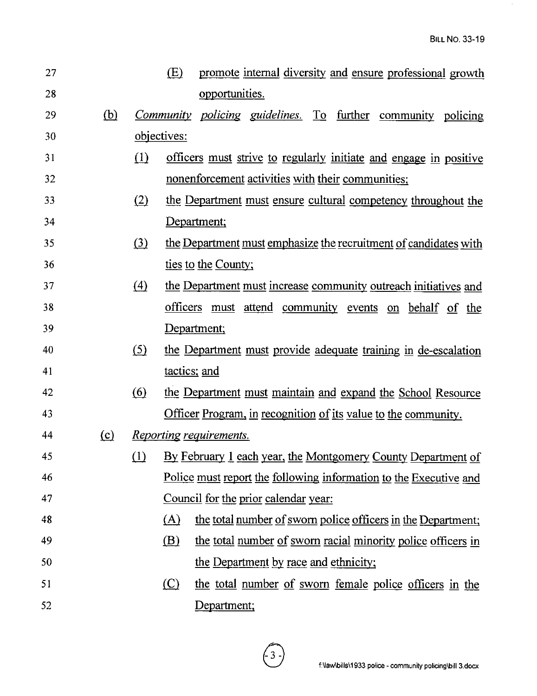$\hat{\boldsymbol{\beta}}$ 

| 27 |            |                  | (E)          | promote internal diversity and ensure professional growth         |  |  |  |  |
|----|------------|------------------|--------------|-------------------------------------------------------------------|--|--|--|--|
| 28 |            |                  |              | opportunities.                                                    |  |  |  |  |
| 29 | <u>(b)</u> |                  |              | Community policing guidelines. To further community policing      |  |  |  |  |
| 30 |            |                  | objectives:  |                                                                   |  |  |  |  |
| 31 |            | $\Omega$         |              | officers must strive to regularly initiate and engage in positive |  |  |  |  |
| 32 |            |                  |              | nonenforcement activities with their communities;                 |  |  |  |  |
| 33 |            | (2)              |              | the Department must ensure cultural competency throughout the     |  |  |  |  |
| 34 |            |                  |              | Department;                                                       |  |  |  |  |
| 35 |            | (3)              |              | the Department must emphasize the recruitment of candidates with  |  |  |  |  |
| 36 |            |                  |              | ties to the County;                                               |  |  |  |  |
| 37 |            | $\left(4\right)$ |              | the Department must increase community outreach initiatives and   |  |  |  |  |
| 38 |            |                  |              | officers must attend community events on behalf of the            |  |  |  |  |
| 39 |            |                  |              | Department;                                                       |  |  |  |  |
| 40 |            | <u>(5)</u>       |              | the Department must provide adequate training in de-escalation    |  |  |  |  |
| 41 |            |                  | tactics; and |                                                                   |  |  |  |  |
| 42 |            | <u>(6)</u>       |              | the Department must maintain and expand the School Resource       |  |  |  |  |
| 43 |            |                  |              | Officer Program, in recognition of its value to the community.    |  |  |  |  |
| 44 | $\Omega$   |                  |              | <u>Reporting requirements.</u>                                    |  |  |  |  |
| 45 |            | (1)              |              | By February 1 each year, the Montgomery County Department of      |  |  |  |  |
| 46 |            |                  |              | Police must report the following information to the Executive and |  |  |  |  |
| 47 |            |                  |              | Council for the prior calendar year:                              |  |  |  |  |
| 48 |            |                  | (A)          | the total number of sworn police officers in the Department;      |  |  |  |  |
| 49 |            |                  | <u>(B)</u>   | the total number of sworn racial minority police officers in      |  |  |  |  |
| 50 |            |                  |              | the Department by race and ethnicity;                             |  |  |  |  |
| 51 |            |                  | $\circ$      | the total number of sworn female police officers in the           |  |  |  |  |
| 52 |            |                  |              | Department;                                                       |  |  |  |  |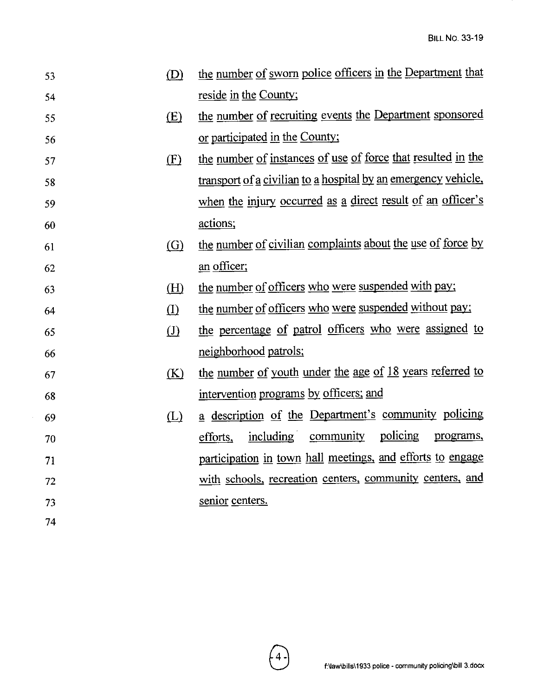| 53 | (D)               | the number of sworn police officers in the Department that     |
|----|-------------------|----------------------------------------------------------------|
| 54 |                   | reside in the County;                                          |
| 55 | (E)               | the number of recruiting events the Department sponsored       |
| 56 |                   | or participated in the County;                                 |
| 57 | (F)               | the number of instances of use of force that resulted in the   |
| 58 |                   | transport of a civilian to a hospital by an emergency vehicle, |
| 59 |                   | when the injury occurred as a direct result of an officer's    |
| 60 |                   | actions;                                                       |
| 61 | $\left( G\right)$ | the number of civilian complaints about the use of force by    |
| 62 |                   | an officer;                                                    |
| 63 | (H)               | the number of officers who were suspended with pay;            |
| 64 | (I)               | the number of officers who were suspended without pay;         |
| 65 | $\left( J\right)$ | the percentage of patrol officers who were assigned to         |
| 66 |                   | neighborhood patrols;                                          |
| 67 | (K)               | the number of youth under the age of 18 years referred to      |
| 68 |                   | intervention programs by officers; and                         |
| 69 | (L)               | a description of the Department's community policing           |
| 70 |                   | policing<br>community<br>including<br>efforts,<br>programs,    |
| 71 |                   | participation in town hall meetings, and efforts to engage     |
| 72 |                   | with schools, recreation centers, community centers, and       |
| 73 |                   | senior centers.                                                |
| 74 |                   |                                                                |

 $\sim$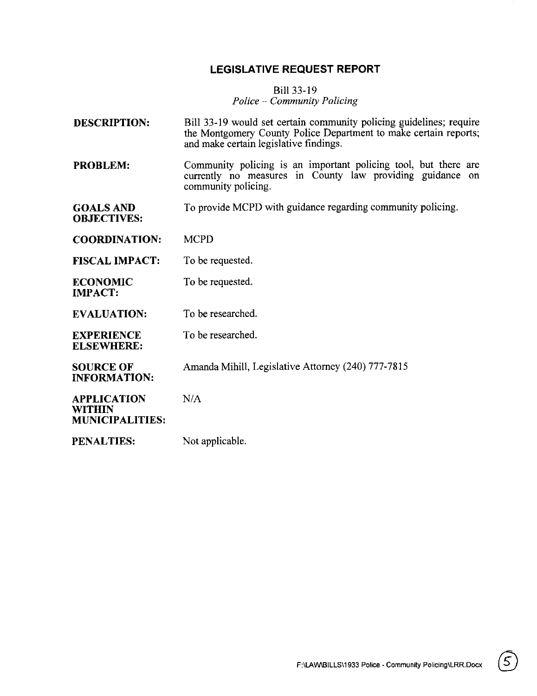#### **LEGISLATIVE REQUEST REPORT**

#### Bill 33-19 *Police* - *Community Policing*

- **DESCRIPTION:**  Bill 33-19 would set certain community policing guidelines; require the Montgomery County Police Department to make certain reports; and make certain legislative findings.
- **PROBLEM:**  Community policing is an important policing tool, but there are currently no measures in County law providing guidance on community policing.
- GOALS AND To provide MCPD with guidance regarding community policing. **OBJECTIVES:**

**COORDINATION:** MCPD

- **FISCAL IMPACT:** To be requested.
- **ECONOMIC** To be requested. **IMPACT:**
- **EVALUATION:** To be researched.
- **EXPERIENCE** To be researched.

**SOURCE OF** Amanda Mihill, Legislative Attorney (240) 777-7815

**APPLICATION** NIA **WITHIN MUNICIPALITIES:** 

**ELSEWHERE:** 

**INFORMATION:** 

**PENALTIES:** Not applicable.